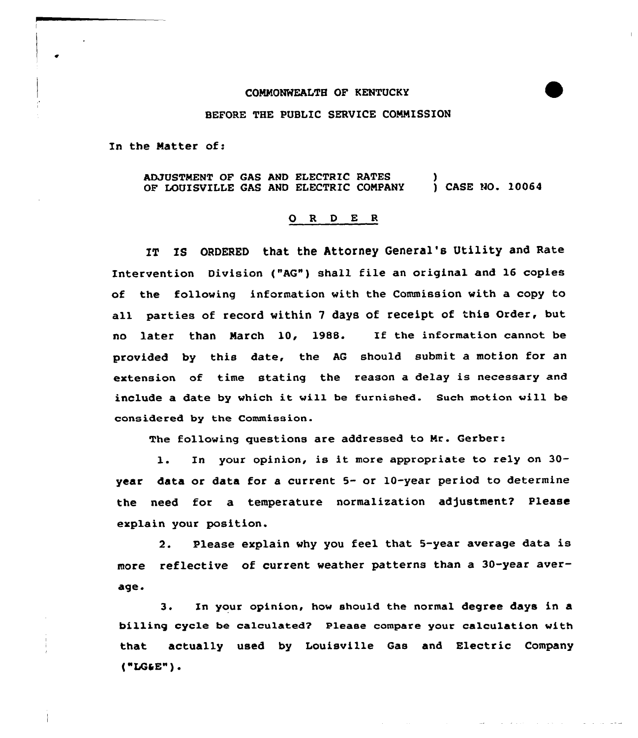## COMMONWEALTH OF KENTUCKY

## BEFORE THE PUBLIC SERVICE COMMISSION

In the Matter of:

ADJUSTMENT OF GAS AND ELECTRIC RATES OF LOUISVILLE GAS AND ELECTRIC COMPANY ) ) CASE NO. 10064

## O R D E R

IT IS ORDERED that the Attorney General's Utility and Rate Intervention Division ("AG") shall file an original and 16 copies of the following information with the Commission with a copy to all parties of record within <sup>7</sup> days of receipt of this Order, but no later than March 10, 1988. If the information cannot be provided by this date, the AG should submit a motion for an extension of time stating the reason a delay is necessary and include a date by which it will be furnished. Such motion vill be considered by the Commission.

The following questions are addressed to Mr. Gerber:

l. In your opinion, is it more appropriate to rely on 30 year data or data for a current 5- or 10-year period to determine the need for a temperature normalization adjustment? Please explain your position.

2. Please explain why you feel that 5-year average data is more reflective af current weather patterns than a 30-year average.

3. Zn your opinion, how should the normal degree days in a billing cycle be calculated? Please compare your calculation with that actually used by Louisville Gas and Electric Company  $($ "LG&E" $)$ .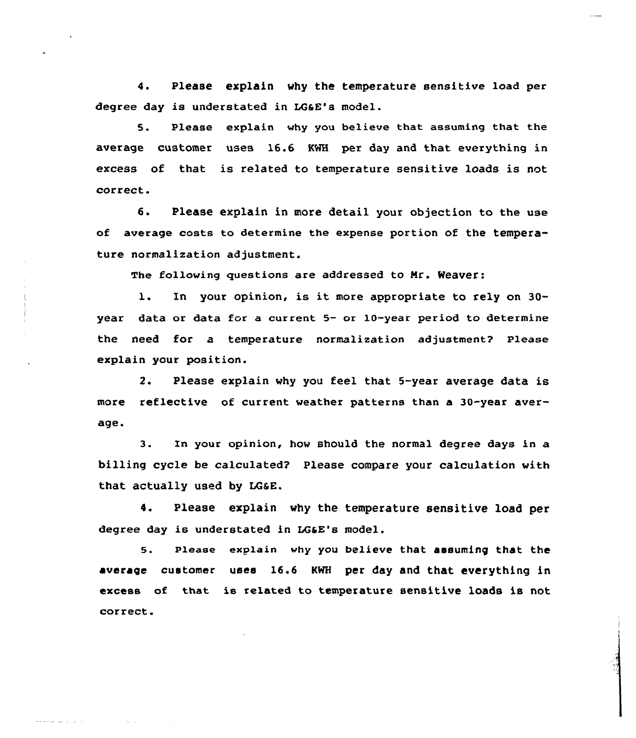4. Please explain why the temperature sensitive load per degree day is understated in LG&E's model.

5. Please explain why you believe that assuming that the average customer uses 16.6 KWH per day and that everything in excess of that is related to temperature sensitive loads is not correct.

6. Please explain in more detail your objection to the use of average costs to determine the expense portion of the temperature normalization adjustment.

The following questions are addressed to Mr. Weaver:

l. In your opinion, is it more appropriate to rely on 30 year data or data for a current 5- or 10-year period to determine the need for a temperature normalization adjustment? Please explain your position.

2. Please explain why you feel that 5-year average data is more reflective of current weather patterns than a 30-year average.

3. In your opinion, how should the normal degree days in a billing cycle be calculated'' Please compare your calculation with that actually used by LGaE.

4. Please explain why the temperature sensitive load per degree day is understated in LGaE's model.

5. Please explain why you believe that assuming that the average customer uses 16.6 KWH per day and that everything in excess of that is related to temperature sensitive loads is not correct.